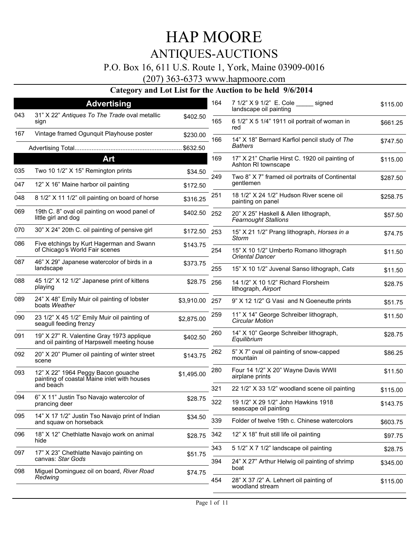### P.O. Box 16, 611 U.S. Route 1, York, Maine 03909-0016

(207) 363-6373 www.hapmoore.com

|     | <b>Advertising</b>                                                                       |              | 164 | 7 1/2" X 9 1/2" E. Cole ______ signed                                   | \$115.00 |
|-----|------------------------------------------------------------------------------------------|--------------|-----|-------------------------------------------------------------------------|----------|
| 043 | 31" X 22" Antiques To The Trade oval metallic<br>sign                                    | \$402.50     | 165 | landscape oil painting<br>6 1/2" X 5 1/4" 1911 oil portrait of woman in | \$661.25 |
| 167 | Vintage framed Ogunguit Playhouse poster                                                 | \$230.00     |     | red                                                                     |          |
|     |                                                                                          | \$632.50     | 166 | 14" X 18" Bernard Karfiol pencil study of The<br><b>Bathers</b>         | \$747.50 |
|     | Art                                                                                      |              | 169 | 17" X 21" Charlie Hirst C. 1920 oil painting of                         | \$115.00 |
| 035 | Two 10 1/2" X 15" Remington prints                                                       | \$34.50      | 249 | Ashton RI townscape                                                     |          |
| 047 | 12" X 16" Maine harbor oil painting                                                      | \$172.50     |     | Two 8" X 7" framed oil portraits of Continental<br>gentlemen            | \$287.50 |
| 048 | 8 1/2" X 11 1/2" oll painting on board of horse                                          | \$316.25     | 251 | 18 1/2" X 24 1/2" Hudson River scene oil<br>painting on panel           | \$258.75 |
| 069 | 19th C. 8" oval oil painting on wood panel of<br>little girl and dog                     | \$402.50     | 252 | 20" X 25" Haskell & Allen lithograph,<br><b>Fearnought Stallions</b>    | \$57.50  |
| 070 | 30" X 24" 20th C. oil painting of pensive girl                                           | \$172.50 253 |     | 15" X 21 1/2" Prang lithograph, Horses in a<br>Storm                    | \$74.75  |
| 086 | Five etchings by Kurt Hagerman and Swann<br>of Chicago's World Fair scenes               | \$143.75     | 254 | 15" X 10 1/2" Umberto Romano lithograph<br><b>Oriental Dancer</b>       | \$11.50  |
| 087 | 46" X 29" Japanese watercolor of birds in a<br>landscape                                 | \$373.75     | 255 | 15" X 10 1/2" Juvenal Sanso lithograph, Cats                            | \$11.50  |
| 088 | 45 1/2" X 12 1/2" Japanese print of kittens                                              | \$28.75      |     |                                                                         |          |
|     | playing                                                                                  |              | 256 | 14 1/2" X 10 1/2" Richard Florsheim<br>lithograph, Airport              | \$28.75  |
| 089 | 24" X 48" Emily Muir oil painting of lobster<br>boats Weather                            | \$3,910.00   | 257 | 9" X 12 1/2" G Vasi and N Goeneutte prints                              | \$51.75  |
| 090 | 23 1/2" X 45 1/2" Emily Muir oil painting of<br>seagull feeding frenzy                   | \$2,875.00   | 259 | 11" X 14" George Schreiber lithograph,<br>Circular Motion               | \$11.50  |
| 091 | 19" X 27" R. Valentine Gray 1973 applique<br>and oil painting of Harpswell meeting house | \$402.50     | 260 | 14" X 10" George Schreiber lithograph,<br>Equilibrium                   | \$28.75  |
| 092 | 20" X 20" Plumer oil painting of winter street<br>scene                                  | \$143.75     | 262 | 5" X 7" oval oil painting of snow-capped<br>mountain                    | \$86.25  |
| 093 | 12" X 22" 1964 Peggy Bacon gouache<br>painting of coastal Maine inlet with houses        | \$1,495.00   | 280 | Four 14 1/2" X 20" Wayne Davis WWII<br>airplane prints                  | \$11.50  |
|     | and beach                                                                                |              | 321 | 22 1/2" X 33 1/2" woodland scene oil painting                           | \$115.00 |
| 094 | 6" X 11" Justin Tso Navajo watercolor of<br>prancing deer                                | \$28.75      | 322 | 19 1/2" X 29 1/2" John Hawkins 1918<br>seascape oil painting            | \$143.75 |
| 095 | 14" X 17 1/2" Justin Tso Navajo print of Indian<br>and squaw on horseback                | \$34.50      | 339 | Folder of twelve 19th c. Chinese watercolors                            | \$603.75 |
| 096 | 18" X 12" Chethlatte Navajo work on animal<br>hide                                       | \$28.75      | 342 | 12" X 18" fruit still life oil painting                                 | \$97.75  |
| 097 | 17" X 23" Chethlatte Navajo painting on                                                  |              | 343 | 5 1/2" X 7 1/2" landscape oil painting                                  | \$28.75  |
|     | canvas: Star Gods                                                                        | \$51.75      | 394 | 24" X 27" Arthur Helwig oil painting of shrimp<br>boat                  | \$345.00 |
| 098 | Miguel Dominguez oil on board, River Road<br>Redwing                                     | \$74.75      | 454 | 28" X 37 /2" A. Lehnert oil painting of<br>woodland stream              | \$115.00 |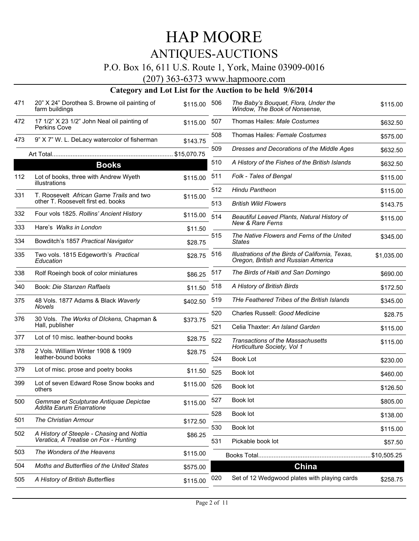### P.O. Box 16, 611 U.S. Route 1, York, Maine 03909-0016

(207) 363-6373 www.hapmoore.com

| 471 | 20" X 24" Dorothea S. Browne oil painting of<br>farm buildings                     | \$115.00           | 506        | The Baby's Bouquet, Flora, Under the<br>Window, The Book of Nonsense,                   | \$115.00   |
|-----|------------------------------------------------------------------------------------|--------------------|------------|-----------------------------------------------------------------------------------------|------------|
| 472 | 17 1/2" X 23 1/2" John Neal oil painting of<br><b>Perkins Cove</b>                 | \$115.00           | 507        | Thomas Hailes: Male Costumes                                                            | \$632.50   |
| 473 | 9" X 7" W. L. DeLacy watercolor of fisherman                                       | \$143.75           | 508        | Thomas Hailes: Female Costumes                                                          | \$575.00   |
|     |                                                                                    |                    | 509        | Dresses and Decorations of the Middle Ages                                              | \$632.50   |
|     | <b>Books</b>                                                                       |                    | 510        | A History of the Fishes of the British Islands                                          | \$632.50   |
| 112 | Lot of books, three with Andrew Wyeth<br>illustrations                             | \$115.00           | 511        | Folk - Tales of Bengal                                                                  | \$115.00   |
| 331 | T. Roosevelt African Game Trails and two                                           | \$115.00           | 512        | Hindu Pantheon                                                                          | \$115.00   |
|     | other T. Roosevelt first ed. books                                                 |                    | 513        | <b>British Wild Flowers</b>                                                             | \$143.75   |
| 332 | Four vols 1825. Rollins' Ancient History                                           | \$115.00           | 514        | Beautiful Leaved Plants, Natural History of<br>New & Rare Ferns                         | \$115.00   |
| 333 | Hare's Walks in London                                                             | \$11.50            | 515        | The Native Flowers and Ferns of the United                                              |            |
| 334 | Bowditch's 1857 Practical Navigator                                                | \$28.75            |            | <b>States</b>                                                                           | \$345.00   |
| 335 | Two vols. 1815 Edgeworth's Practical<br>Education                                  | \$28.75            | 516        | Illustrations of the Birds of California, Texas,<br>Oregon, British and Russian America | \$1,035.00 |
| 338 | Rolf Roeingh book of color miniatures                                              | \$86.25            | 517        | The Birds of Haiti and San Domingo                                                      | \$690.00   |
| 340 | Book: Die Stanzen Raffaels                                                         | \$11.50            | 518        | A History of British Birds                                                              | \$172.50   |
| 375 | 48 Vols. 1877 Adams & Black Waverly<br>Novels                                      | \$402.50           | 519        | THe Feathered Tribes of the British Islands                                             | \$345.00   |
| 376 | 30 Vols. The Works of Dickens, Chapman &<br>Hall, publisher                        | \$373.75           | 520<br>521 | Charles Russell: Good Medicine                                                          | \$28.75    |
| 377 | Lot of 10 misc. leather-bound books                                                |                    |            | Celia Thaxter: An Island Garden                                                         | \$115.00   |
| 378 | 2 Vols. William Winter 1908 & 1909                                                 | \$28.75<br>\$28.75 | 522        | Transactions of the Massachusetts<br>Horticulture Society, Vol 1                        | \$115.00   |
|     | leather-bound books                                                                |                    | 524        | Book Lot                                                                                | \$230.00   |
| 379 | Lot of misc. prose and poetry books                                                | \$11.50            | 525        | Book lot                                                                                | \$460.00   |
| 399 | Lot of seven Edward Rose Snow books and<br>others                                  | \$115.00           | 526        | Book lot                                                                                | \$126.50   |
| 500 | Gemmae et Sculpturae Antiquae Depictae<br>Addita Earum Enarratione                 | \$115.00           | 527        | Book lot                                                                                | \$805.00   |
| 501 | The Christian Armour                                                               | \$172.50           | 528        | Book lot                                                                                | \$138.00   |
|     |                                                                                    |                    | 530        | Book lot                                                                                | \$115.00   |
| 502 | A History of Steeple - Chasing and Nottia<br>Veratica, A Treatise on Fox - Hunting | \$86.25            | 531        | Pickable book lot                                                                       | \$57.50    |
| 503 | The Wonders of the Heavens                                                         | \$115.00           |            |                                                                                         |            |
| 504 | Moths and Butterflies of the United States                                         | \$575.00           |            | <b>China</b>                                                                            |            |
| 505 | A History of British Butterflies                                                   | \$115.00           | 020        | Set of 12 Wedgwood plates with playing cards                                            | \$258.75   |
|     |                                                                                    |                    |            |                                                                                         |            |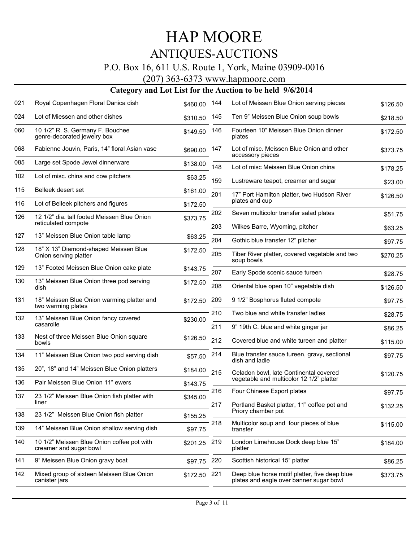### P.O. Box 16, 611 U.S. Route 1, York, Maine 03909-0016

(207) 363-6373 www.hapmoore.com

| 021 | Royal Copenhagen Floral Danica dish                                | \$460.00 | 144 | Lot of Meissen Blue Onion serving pieces                                                 | \$126.50 |
|-----|--------------------------------------------------------------------|----------|-----|------------------------------------------------------------------------------------------|----------|
| 024 | Lot of Miessen and other dishes                                    | \$310.50 | 145 | Ten 9" Meissen Blue Onion soup bowls                                                     | \$218.50 |
| 060 | 10 1/2" R. S. Germany F. Bouchee<br>genre-decorated jewelry box    | \$149.50 | 146 | Fourteen 10" Meissen Blue Onion dinner<br>plates                                         | \$172.50 |
| 068 | Fabienne Jouvin, Paris, 14" floral Asian vase                      | \$690.00 | 147 | Lot of misc. Meissen Blue Onion and other<br>accessory pieces                            | \$373.75 |
| 085 | Large set Spode Jewel dinnerware                                   | \$138.00 | 148 | Lot of misc Meissen Blue Onion china                                                     | \$178.25 |
| 102 | Lot of misc. china and cow pitchers                                | \$63.25  | 159 | Lustreware teapot, creamer and sugar                                                     | \$23.00  |
| 115 | Belleek desert set                                                 | \$161.00 | 201 | 17" Port Hamilton platter, two Hudson River                                              | \$126.50 |
| 116 | Lot of Belleek pitchers and figures                                | \$172.50 |     | plates and cup                                                                           |          |
| 126 | 12 1/2" dia. tall footed Meissen Blue Onion<br>reticulated compote | \$373.75 | 202 | Seven multicolor transfer salad plates                                                   | \$51.75  |
| 127 |                                                                    |          | 203 | Wilkes Barre, Wyoming, pitcher                                                           | \$63.25  |
|     | 13" Meissen Blue Onion table lamp                                  | \$63.25  | 204 | Gothic blue transfer 12" pitcher                                                         | \$97.75  |
| 128 | 18" X 13" Diamond-shaped Meissen Blue<br>Onion serving platter     | \$172.50 | 205 | Tiber River platter, covered vegetable and two<br>soup bowls                             | \$270.25 |
| 129 | 13" Footed Meissen Blue Onion cake plate                           | \$143.75 | 207 | Early Spode scenic sauce tureen                                                          | \$28.75  |
| 130 | 13" Meissen Blue Onion three pod serving<br>dish                   | \$172.50 | 208 | Oriental blue open 10" vegetable dish                                                    | \$126.50 |
| 131 | 18" Meissen Blue Onion warming platter and<br>two warming plates   | \$172.50 | 209 | 9 1/2" Bosphorus fluted compote                                                          | \$97.75  |
| 132 | 13" Meissen Blue Onion fancy covered                               | \$230.00 | 210 | Two blue and white transfer ladles                                                       | \$28.75  |
|     | casarolle                                                          |          | 211 | 9" 19th C. blue and white ginger jar                                                     | \$86.25  |
| 133 | Nest of three Meissen Blue Onion square<br>bowls                   | \$126.50 | 212 | Covered blue and white tureen and platter                                                | \$115.00 |
| 134 | 11" Meissen Blue Onion two pod serving dish                        | \$57.50  | 214 | Blue transfer sauce tureen, gravy, sectional<br>dish and ladle                           | \$97.75  |
| 135 | 20", 18" and 14" Meissen Blue Onion platters                       | \$184.00 | 215 | Celadon bowl, late Continental covered                                                   | \$120.75 |
| 136 | Pair Meissen Blue Onion 11" ewers                                  | \$143.75 |     | vegetable and multicolor 12 1/2" platter                                                 |          |
| 137 | 23 1/2" Meissen Blue Onion fish platter with<br>liner              | \$345.00 | 216 | Four Chinese Export plates                                                               | \$97.75  |
| 138 | 23 1/2" Meissen Blue Onion fish platter                            | \$155.25 | 217 | Portland Basket platter, 11" coffee pot and<br>Priory chamber pot                        | \$132.25 |
| 139 | 14" Meissen Blue Onion shallow serving dish                        | \$97.75  | 218 | Multicolor soup and four pieces of blue<br>transfer                                      | \$115.00 |
| 140 | 10 1/2" Meissen Blue Onion coffee pot with                         |          | 219 | London Limehouse Dock deep blue 15"                                                      |          |
|     | creamer and sugar bowl                                             | \$201.25 |     | platter                                                                                  | \$184.00 |
| 141 | 9" Meissen Blue Onion gravy boat                                   | \$97.75  | 220 | Scottish historical 15" platter                                                          | \$86.25  |
| 142 | Mixed group of sixteen Meissen Blue Onion<br>canister jars         | \$172.50 | 221 | Deep blue horse motif platter, five deep blue<br>plates and eagle over banner sugar bowl | \$373.75 |
|     |                                                                    |          |     |                                                                                          |          |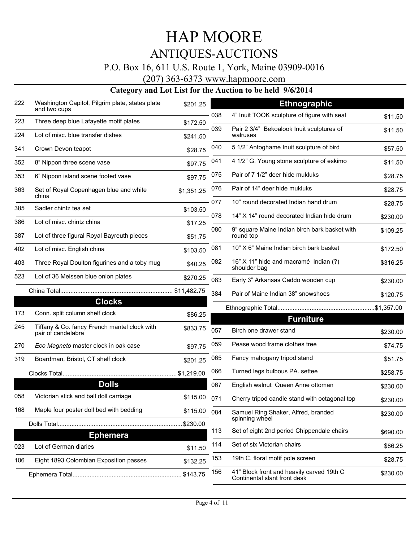### P.O. Box 16, 611 U.S. Route 1, York, Maine 03909-0016

(207) 363-6373 www.hapmoore.com

| 222 | Washington Capitol, Pilgrim plate, states plate<br>and two cups    | \$201.25   |     | <b>Ethnographic</b>                                                       |            |
|-----|--------------------------------------------------------------------|------------|-----|---------------------------------------------------------------------------|------------|
| 223 | Three deep blue Lafayette motif plates                             |            | 038 | 4" Inuit TOOK sculpture of figure with seal                               | \$11.50    |
|     |                                                                    | \$172.50   | 039 | Pair 2 3/4" Bekoalook Inuit sculptures of                                 | \$11.50    |
| 224 | Lot of misc, blue transfer dishes                                  | \$241.50   |     | walruses                                                                  |            |
| 341 | Crown Devon teapot                                                 | \$28.75    | 040 | 5 1/2" Antoghame Inuit sculpture of bird                                  | \$57.50    |
| 352 | 8" Nippon three scene vase                                         | \$97.75    | 041 | 4 1/2" G. Young stone sculpture of eskimo                                 | \$11.50    |
| 353 | 6" Nippon island scene footed vase                                 | \$97.75    | 075 | Pair of 7 1/2" deer hide mukluks                                          | \$28.75    |
| 363 | Set of Royal Copenhagen blue and white<br>china                    | \$1,351.25 | 076 | Pair of 14" deer hide mukluks                                             | \$28.75    |
| 385 | Sadler chintz tea set                                              | \$103.50   | 077 | 10" round decorated Indian hand drum                                      | \$28.75    |
| 386 | Lot of misc. chintz china                                          | \$17.25    | 078 | 14" X 14" round decorated Indian hide drum                                | \$230.00   |
| 387 | Lot of three figural Royal Bayreuth pieces                         | \$51.75    | 080 | 9" square Maine Indian birch bark basket with<br>round top                | \$109.25   |
| 402 | Lot of misc. English china                                         | \$103.50   | 081 | 10" X 6" Maine Indian birch bark basket                                   | \$172.50   |
| 403 | Three Royal Doulton figurines and a toby mug                       | \$40.25    | 082 | 16" X 11" hide and macramé Indian (?)<br>shoulder bag                     | \$316.25   |
| 523 | Lot of 36 Meissen blue onion plates                                | \$270.25   | 083 | Early 3" Arkansas Caddo wooden cup                                        | \$230.00   |
|     |                                                                    |            | 384 | Pair of Maine Indian 38" snowshoes                                        | \$120.75   |
|     | <b>Clocks</b>                                                      |            |     |                                                                           | \$1,357.00 |
| 173 | Conn. split column shelf clock                                     | \$86.25    |     | <b>Furniture</b>                                                          |            |
| 245 | Tiffany & Co. fancy French mantel clock with<br>pair of candelabra | \$833.75   | 057 | Birch one drawer stand                                                    | \$230.00   |
| 270 | Eco Magneto master clock in oak case                               | \$97.75    | 059 | Pease wood frame clothes tree                                             | \$74.75    |
| 319 | Boardman, Bristol, CT shelf clock                                  | \$201.25   | 065 | Fancy mahogany tripod stand                                               | \$51.75    |
|     |                                                                    |            | 066 | Turned legs bulbous PA. settee                                            | \$258.75   |
|     | <b>Dolls</b>                                                       |            | 067 | English walnut Queen Anne ottoman                                         | \$230.00   |
| 058 | Victorian stick and ball doll carriage                             | \$115.00   | 071 | Cherry tripod candle stand with octagonal top                             | \$230.00   |
| 168 | Maple four poster doll bed with bedding                            | \$115.00   | 084 | Samuel Ring Shaker, Alfred, branded<br>spinning wheel                     | \$230.00   |
|     |                                                                    | \$230.00   | 113 | Set of eight 2nd period Chippendale chairs                                | \$690.00   |
|     | <b>Ephemera</b>                                                    |            |     |                                                                           |            |
| 023 | Lot of German diaries                                              | \$11.50    | 114 | Set of six Victorian chairs                                               | \$86.25    |
| 106 | Eight 1893 Colombian Exposition passes                             | \$132.25   | 153 | 19th C. floral motif pole screen                                          | \$28.75    |
|     |                                                                    |            | 156 | 41" Block front and heavily carved 19th C<br>Continental slant front desk | \$230.00   |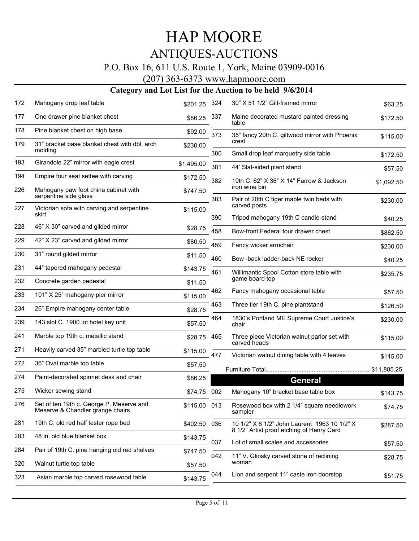### P.O. Box 16, 611 U.S. Route 1, York, Maine 03909-0016

(207) 363-6373 www.hapmoore.com

| 172 | Mahogany drop leaf table                                                     | \$201.25     | 324 | 30" X 51 1/2" Gilt-framed mirror                                                          | \$63.25    |
|-----|------------------------------------------------------------------------------|--------------|-----|-------------------------------------------------------------------------------------------|------------|
| 177 | One drawer pine blanket chest                                                | \$86.25      | 337 | Maine decorated mustard painted dressing<br>table                                         | \$172.50   |
| 178 | Pine blanket chest on high base                                              | \$92.00      | 373 | 35" fancy 20th C. giltwood mirror with Phoenix                                            | \$115.00   |
| 179 | 31" bracket base blanket chest with dbl. arch<br>molding                     | \$230.00     | 380 | crest<br>Small drop leaf marquetry side table                                             |            |
| 193 | Girandole 22" mirror with eagle crest                                        | \$1,495.00   |     |                                                                                           | \$172.50   |
| 194 | Empire four seat settee with carving                                         | \$172.50     | 381 | 44' Slat-sided plant stand                                                                | \$57.50    |
| 226 | Mahogany paw foot china cabinet with                                         | \$747.50     | 382 | 19th C. 62" X 36" X 14" Farrow & Jackson<br>iron wine bin                                 | \$1,092.50 |
|     | serpentine side glass                                                        |              | 383 | Pair of 20th C tiger maple twin beds with<br>carved posts                                 | \$230.00   |
| 227 | Victorian sofa with carving and serpentine<br>skirt                          | \$115.00     | 390 | Tripod mahogany 19th C candle-stand                                                       |            |
| 228 | 46" X 30" carved and gilded mirror                                           | \$28.75      |     |                                                                                           | \$40.25    |
| 229 | 42" X 23" carved and gilded mirror                                           | \$80.50      | 458 | Bow-front Federal four drawer chest                                                       | \$862.50   |
| 230 |                                                                              |              | 459 | Fancy wicker armchair                                                                     | \$230.00   |
|     | 31" round gilded mirror                                                      | \$11.50      | 460 | Bow -back ladder-back NE rocker                                                           | \$40.25    |
| 231 | 44" tapered mahogany pedestal                                                | \$143.75     | 461 | Willimantic Spool Cotton store table with                                                 | \$235.75   |
| 232 | Concrete garden pedestal                                                     | \$11.50      |     | game board top                                                                            |            |
| 233 | 101" X 25" mahogany pier mirror                                              | \$115.00     | 462 | Fancy mahogany occasional table                                                           | \$57.50    |
| 234 | 26" Empire mahogany center table                                             | \$28.75      | 463 | Three tier 19th C. pine plantstand                                                        | \$126.50   |
| 239 | 143 slot C. 1900 lot hotel key unit                                          | \$57.50      | 464 | 1830's Portland ME Supreme Court Justice's<br>chair                                       | \$230.00   |
| 241 | Marble top 19th c. metallic stand                                            | \$28.75      | 465 | Three piece Victorian walnut parlor set with<br>carved heads                              | \$115.00   |
| 271 | Heavily carved 35" marbled turtle top table                                  | \$115.00     | 477 | Victorian walnut dining table with 4 leaves                                               | \$115.00   |
| 272 | 36" Oval marble top table                                                    | \$57.50      |     |                                                                                           |            |
| 274 | Paint-decorated spinnet desk and chair                                       | \$86.25      |     | <b>General</b>                                                                            |            |
| 275 | Wicker sewing stand                                                          | \$74.75      | 002 | Mahogany 10" bracket base table box                                                       |            |
|     |                                                                              |              |     |                                                                                           | \$143.75   |
| 276 | Set of ten 19th c. George P. Meserve and<br>Meserve & Chandler grange chairs | \$115.00 013 |     | Rosewood box with 2 1/4" square needlework<br>sampler                                     | \$74.75    |
| 281 | 19th C. old red half tester rope bed                                         | \$402.50 036 |     | 10 1/2" X 8 1/2" John Laurent 1963 10 1/2" X<br>8 1/2" Artist proof etching of Henry Card | \$287.50   |
| 283 | 48 in. old blue blanket box                                                  | \$143.75     | 037 | Lot of small scales and accessories                                                       | \$57.50    |
| 284 | Pair of 19th C. pine hanging old red shelves                                 | \$747.50     | 042 | 11" V. Glinsky carved stone of reclining                                                  |            |
| 320 | Walnut turtle top table                                                      | \$57.50      |     | woman                                                                                     | \$28.75    |
| 323 | Asian marble top carved rosewood table                                       | \$143.75     | 044 | Lion and serpent 11" caste iron doorstop                                                  | \$51.75    |
|     |                                                                              |              |     |                                                                                           |            |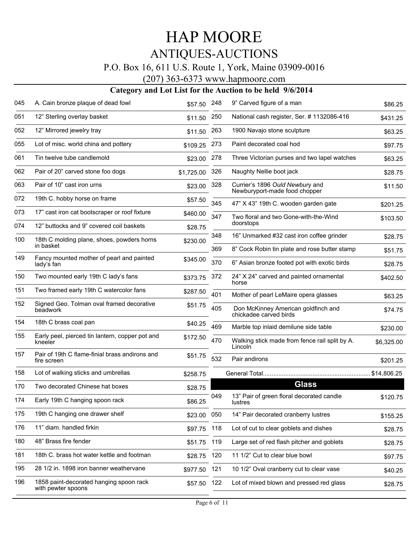### P.O. Box 16, 611 U.S. Route 1, York, Maine 03909-0016

(207) 363-6373 www.hapmoore.com

| 045 | A. Cain bronze plaque of dead fowl                            | \$57.50    | 248 | 9" Carved figure of a man                                        | \$86.25    |
|-----|---------------------------------------------------------------|------------|-----|------------------------------------------------------------------|------------|
| 051 | 12" Sterling overlay basket                                   | \$11.50    | 250 | National cash register, Ser. #1132086-416                        | \$431.25   |
| 052 | 12" Mirrored jewelry tray                                     | \$11.50    | 263 | 1900 Navajo stone sculpture                                      | \$63.25    |
| 055 | Lot of misc. world china and pottery                          | \$109.25   | 273 | Paint decorated coal hod                                         | \$97.75    |
| 061 | Tin twelve tube candlemold                                    | \$23.00    | 278 | Three Victorian purses and two lapel watches                     | \$63.25    |
| 062 | Pair of 20" carved stone foo dogs                             | \$1,725.00 | 326 | Naughty Nellie boot jack                                         | \$28.75    |
| 063 | Pair of 10" cast iron urns                                    | \$23.00    | 328 | Currier's 1896 Ould Newbury and<br>Newburyport-made food chopper | \$11.50    |
| 072 | 19th C. hobby horse on frame                                  | \$57.50    | 345 | 47" X 43" 19th C. wooden garden gate                             | \$201.25   |
| 073 | 17" cast iron cat bootscraper or roof fixture                 | \$460.00   | 347 | Two floral and two Gone-with-the-Wind                            | \$103.50   |
| 074 | 12" buttocks and 9" covered coil baskets                      | \$28.75    |     | doorstops                                                        |            |
| 100 | 18th C molding plane, shoes, powders horns                    | \$230.00   | 348 | 16" Unmarked #32 cast iron coffee grinder                        | \$28.75    |
|     | in basket                                                     |            | 369 | 8" Cock Robin tin plate and rose butter stamp                    | \$51.75    |
| 149 | Fancy mounted mother of pearl and painted<br>lady's fan       | \$345.00   | 370 | 6" Asian bronze footed pot with exotic birds                     | \$28.75    |
| 150 | Two mounted early 19th C lady's fans                          | \$373.75   | 372 | 24" X 24" carved and painted ornamental<br>horse                 | \$402.50   |
| 151 | Two framed early 19th C watercolor fans                       | \$287.50   | 401 | Mother of pearl LeMaire opera glasses                            | \$63.25    |
| 152 | Signed Geo. Tolman oval framed decorative<br>beadwork         | \$51.75    | 405 | Don McKinney American goldfinch and<br>chickadee carved birds    | \$74.75    |
| 154 | 18th C brass coal pan                                         | \$40.25    | 469 | Marble top inlaid demilune side table                            | \$230.00   |
| 155 | Early peel, pierced tin lantern, copper pot and<br>kneeler    | \$172.50   | 470 | Walking stick made from fence rail split by A.<br>Lincoln        | \$6,325.00 |
| 157 | Pair of 19th C flame-finial brass andirons and<br>fire screen | \$51.75    | 532 | Pair andirons                                                    | \$201.25   |
| 158 | Lot of walking sticks and umbrellas                           | \$258.75   |     |                                                                  |            |
| 170 | Two decorated Chinese hat boxes                               | \$28.75    |     | <b>Glass</b>                                                     |            |
| 174 | Early 19th C hanging spoon rack                               | \$86.25    | 049 | 13" Pair of green floral decorated candle<br>lustres             | \$120.75   |
| 175 | 19th C hanging one drawer shelf                               | \$23.00    | 050 | 14" Pair decorated cranberry lustres                             | \$155.25   |
| 176 | 11" diam. handled firkin                                      | \$97.75    | 118 | Lot of cut to clear goblets and dishes                           | \$28.75    |
| 180 | 48" Brass fire fender                                         | \$51.75    | 119 | Large set of red flash pitcher and goblets                       | \$28.75    |
| 181 | 18th C. brass hot water kettle and footman                    | \$28.75    | 120 | 11 1/2" Cut to clear blue bowl                                   | \$97.75    |
| 195 | 28 1/2 in. 1898 iron banner weathervane                       | \$977.50   | 121 | 10 1/2" Oval cranberry cut to clear vase                         | \$40.25    |
| 196 | 1858 paint-decorated hanging spoon rack<br>with pewter spoons | \$57.50    | 122 | Lot of mixed blown and pressed red glass                         | \$28.75    |
|     |                                                               |            |     |                                                                  |            |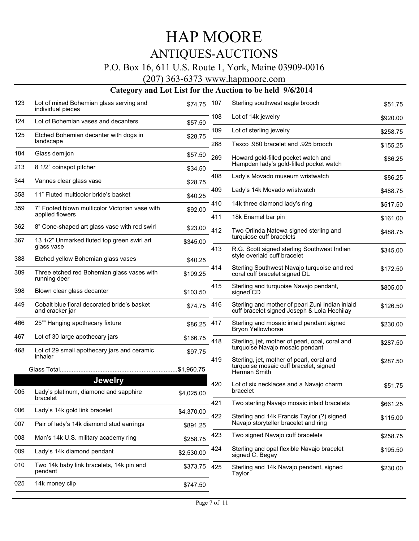### P.O. Box 16, 611 U.S. Route 1, York, Maine 03909-0016

(207) 363-6373 www.hapmoore.com

| 123 | Lot of mixed Bohemian glass serving and<br>individual pieces      | \$74.75      | 107        | Sterling southwest eagle brooch                                                                     | \$51.75              |
|-----|-------------------------------------------------------------------|--------------|------------|-----------------------------------------------------------------------------------------------------|----------------------|
| 124 | Lot of Bohemian vases and decanters                               | \$57.50      | 108        | Lot of 14k jewelry                                                                                  | \$920.00             |
| 125 | Etched Bohemian decanter with dogs in                             | \$28.75      | 109        | Lot of sterling jewelry                                                                             | \$258.75             |
|     | landscape                                                         |              | 268        | Taxco .980 bracelet and .925 brooch                                                                 | \$155.25             |
| 184 | Glass demijon                                                     | \$57.50      | 269        | Howard gold-filled pocket watch and                                                                 | \$86.25              |
| 213 | 8 1/2" coinspot pitcher                                           | \$34.50      |            | Hampden lady's gold-filled pocket watch                                                             |                      |
| 344 | Vannes clear glass vase                                           | \$28.75      | 408        | Lady's Movado museum wristwatch                                                                     | \$86.25              |
| 358 | 11" Fluted multicolor bride's basket                              | \$40.25      | 409        | Lady's 14k Movado wristwatch                                                                        | \$488.75             |
| 359 | 7" Footed blown multicolor Victorian vase with<br>applied flowers | \$92.00      | 410<br>411 | 14k three diamond lady's ring<br>18k Enamel bar pin                                                 | \$517.50<br>\$161.00 |
| 362 | 8" Cone-shaped art glass vase with red swirl                      | \$23.00      | 412        |                                                                                                     |                      |
| 367 | 13 1/2" Unmarked fluted top green swirl art<br>glass vase         | \$345.00     |            | Two Orlinda Natewa signed sterling and<br>turquiose cuff bracelets                                  | \$488.75             |
| 388 | Etched yellow Bohemian glass vases                                | \$40.25      | 413        | R.G. Scott signed sterling Southwest Indian<br>style overlaid cuff bracelet                         | \$345.00             |
| 389 | Three etched red Bohemian glass vases with<br>running deer        | \$109.25     | 414        | Sterling Southwest Navajo turquoise and red<br>coral cuff bracelet signed DL                        | \$172.50             |
| 398 | Blown clear glass decanter                                        | \$103.50     | 415        | Sterling and turquoise Navajo pendant,<br>signed CD                                                 | \$805.00             |
| 449 | Cobalt blue floral decorated bride's basket<br>and cracker jar    | \$74.75      | 416        | Sterling and mother of pearl Zuni Indian inlaid<br>cuff bracelet signed Joseph & Lola Hechilay      | \$126.50             |
| 466 | 25"" Hanging apothecary fixture                                   | \$86.25      | 417        | Sterling and mosaic inlaid pendant signed<br>Bryon Yellowhorse                                      | \$230.00             |
| 467 | Lot of 30 large apothecary jars                                   | \$166.75     | 418        | Sterling, jet, mother of pearl, opal, coral and                                                     | \$287.50             |
| 468 | Lot of 29 small apothecary jars and ceramic<br>inhaler            | \$97.75      |            | turquoise Navajo mosaic pendant                                                                     |                      |
|     |                                                                   |              | 419        | Sterling, jet, mother of pearl, coral and<br>turquoise mosaic cuff bracelet, signed<br>Herman Smith | \$287.50             |
|     | <b>Jewelry</b>                                                    |              | 420        | Lot of six necklaces and a Navajo charm                                                             | \$51.75              |
| 005 | Lady's platinum, diamond and sapphire<br>bracelet                 | \$4,025.00   |            | bracelet                                                                                            |                      |
| 006 | Lady's 14k gold link bracelet                                     | \$4,370.00   | 421        | Two sterling Navajo mosaic inlaid bracelets                                                         | \$661.25             |
| 007 | Pair of lady's 14k diamond stud earrings                          | \$891.25     | 422        | Sterling and 14k Francis Taylor (?) signed<br>Navajo storyteller bracelet and ring                  | \$115.00             |
| 008 | Man's 14k U.S. military academy ring                              | \$258.75     | 423        | Two signed Navajo cuff bracelets                                                                    | \$258.75             |
| 009 | Lady's 14k diamond pendant                                        | \$2,530.00   | 424        | Sterling and opal flexible Navajo bracelet<br>signed C. Begay                                       | \$195.50             |
| 010 | Two 14k baby link bracelets, 14k pin and<br>pendant               | \$373.75 425 |            | Sterling and 14k Navajo pendant, signed<br>Taylor                                                   | \$230.00             |
| 025 | 14k money clip                                                    | \$747.50     |            |                                                                                                     |                      |
|     |                                                                   |              |            |                                                                                                     |                      |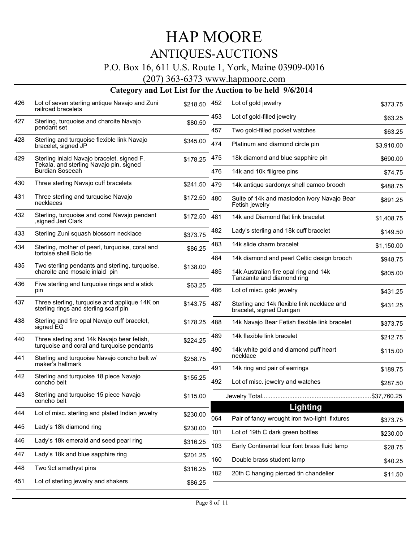### P.O. Box 16, 611 U.S. Route 1, York, Maine 03909-0016

(207) 363-6373 www.hapmoore.com

| 426 | Lot of seven sterling antique Navajo and Zuni<br>railroad bracelets                      | \$218.50 | 452 | Lot of gold jewelry                                                     | \$373.75   |
|-----|------------------------------------------------------------------------------------------|----------|-----|-------------------------------------------------------------------------|------------|
| 427 | Sterling, turquoise and charoite Navajo                                                  | \$80.50  | 453 | Lot of gold-filled jewelry                                              | \$63.25    |
|     | pendant set                                                                              |          | 457 | Two gold-filled pocket watches                                          | \$63.25    |
| 428 | Sterling and turquoise flexible link Navajo<br>bracelet, signed JP                       | \$345.00 | 474 | Platinum and diamond circle pin                                         | \$3,910.00 |
| 429 | Sterling inlaid Navajo bracelet, signed F.<br>Tekala, and sterling Navajo pin, signed    | \$178.25 | 475 | 18k diamond and blue sapphire pin                                       | \$690.00   |
|     | Burdian Soseeah                                                                          |          | 476 | 14k and 10k filigree pins                                               | \$74.75    |
| 430 | Three sterling Navajo cuff bracelets                                                     | \$241.50 | 479 | 14k antique sardonyx shell cameo brooch                                 | \$488.75   |
| 431 | Three sterling and turquoise Navajo<br>necklaces                                         | \$172.50 | 480 | Suite of 14k and mastodon ivory Navajo Bear<br>Fetish jewelry           | \$891.25   |
| 432 | Sterling, turquoise and coral Navajo pendant<br>signed Jeri Clark,                       | \$172.50 | 481 | 14k and Diamond flat link bracelet                                      | \$1,408.75 |
| 433 | Sterling Zuni squash blossom necklace                                                    | \$373.75 | 482 | Lady's sterling and 18k cuff bracelet                                   | \$149.50   |
| 434 | Sterling, mother of pearl, turquoise, coral and                                          | \$86.25  | 483 | 14k slide charm bracelet                                                | \$1,150.00 |
|     | tortoise shell Bolo tie                                                                  |          | 484 | 14k diamond and pearl Celtic design brooch                              | \$948.75   |
| 435 | Two sterling pendants and sterling, turquoise,<br>charoite and mosaic inlaid pin         | \$138.00 | 485 | 14k Australian fire opal ring and 14k<br>Tanzanite and diamond ring     | \$805.00   |
| 436 | Five sterling and turquoise rings and a stick<br>pin                                     | \$63.25  | 486 | Lot of misc. gold jewelry                                               | \$431.25   |
| 437 | Three sterling, turquoise and applique 14K on<br>sterling rings and sterling scarf pin   | \$143.75 | 487 | Sterling and 14k flexible link necklace and<br>bracelet, signed Dunigan | \$431.25   |
| 438 | Sterling and fire opal Navajo cuff bracelet,<br>signed EG                                | \$178.25 | 488 | 14k Navajo Bear Fetish flexible link bracelet                           | \$373.75   |
| 440 | Three sterling and 14k Navajo bear fetish,<br>turquoise and coral and turquoise pendants | \$224.25 | 489 | 14k flexible link bracelet                                              | \$212.75   |
| 441 | Sterling and turquoise Navajo concho belt w/                                             | \$258.75 | 490 | 14k white gold and diamond puff heart<br>necklace                       | \$115.00   |
|     | maker's hallmark                                                                         |          | 491 | 14k ring and pair of earrings                                           | \$189.75   |
| 442 | Sterling and turquoise 18 piece Navajo<br>concho belt                                    | \$155.25 | 492 | Lot of misc. jewelry and watches                                        | \$287.50   |
| 443 | Sterling and turquoise 15 piece Navajo<br>concho belt                                    | \$115.00 |     |                                                                         |            |
| 444 | Lot of misc. sterling and plated Indian jewelry                                          | \$230.00 |     | Lighting                                                                |            |
| 445 | Lady's 18k diamond ring                                                                  | \$230.00 | 064 | Pair of fancy wrought iron two-light fixtures                           | \$373.75   |
| 446 | Lady's 18k emerald and seed pearl ring                                                   | \$316.25 | 101 | Lot of 19th C dark green bottles                                        | \$230.00   |
| 447 | Lady's 18k and blue sapphire ring                                                        |          | 103 | Early Continental four font brass fluid lamp                            | \$28.75    |
| 448 | Two 9ct amethyst pins                                                                    | \$201.25 | 160 | Double brass student lamp                                               | \$40.25    |
|     |                                                                                          | \$316.25 | 182 | 20th C hanging pierced tin chandelier                                   | \$11.50    |
| 451 | Lot of sterling jewelry and shakers                                                      | \$86.25  |     |                                                                         |            |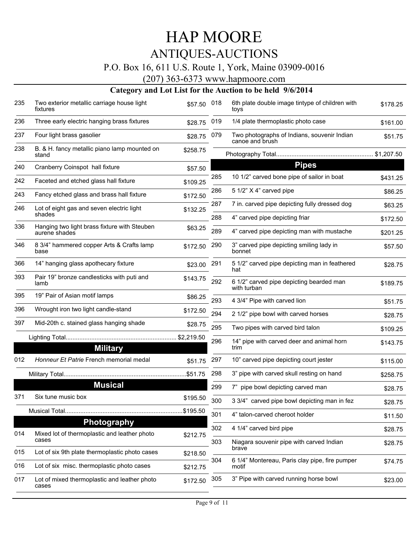### P.O. Box 16, 611 U.S. Route 1, York, Maine 03909-0016

(207) 363-6373 www.hapmoore.com

| 235 | Two exterior metallic carriage house light<br>fixtures | \$57.50  | 018 | 6th plate double image tintype of children with<br>toys        | \$178.25 |
|-----|--------------------------------------------------------|----------|-----|----------------------------------------------------------------|----------|
| 236 | Three early electric hanging brass fixtures            | \$28.75  | 019 | 1/4 plate thermoplastic photo case                             | \$161.00 |
| 237 | Four light brass gasolier                              | \$28.75  | 079 | Two photographs of Indians, souvenir Indian<br>canoe and brush | \$51.75  |
| 238 | B. & H. fancy metallic piano lamp mounted on<br>stand  | \$258.75 |     |                                                                |          |
| 240 | Cranberry Coinspot hall fixture                        | \$57.50  |     | <b>Pipes</b>                                                   |          |
| 242 | Faceted and etched glass hall fixture                  | \$109.25 | 285 | 10 1/2" carved bone pipe of sailor in boat                     | \$431.25 |
| 243 | Fancy etched glass and brass hall fixture              | \$172.50 | 286 | 5 1/2" X 4" carved pipe                                        | \$86.25  |
| 246 | Lot of eight gas and seven electric light<br>shades    | \$132.25 | 287 | 7 in. carved pipe depicting fully dressed dog                  | \$63.25  |
| 336 | Hanging two light brass fixture with Steuben           |          | 288 | 4" carved pipe depicting friar                                 | \$172.50 |
|     | aurene shades                                          | \$63.25  | 289 | 4" carved pipe depicting man with mustache                     | \$201.25 |
| 346 | 8 3/4" hammered copper Arts & Crafts lamp<br>base      | \$172.50 | 290 | 3" carved pipe depicting smiling lady in<br>bonnet             | \$57.50  |
| 366 | 14" hanging glass apothecary fixture                   | \$23.00  | 291 | 5 1/2" carved pipe depicting man in feathered<br>hat           | \$28.75  |
| 393 | Pair 19" bronze candlesticks with puti and<br>lamb     | \$143.75 | 292 | 6 1/2" carved pipe depicting bearded man<br>with turban        | \$189.75 |
| 395 | 19" Pair of Asian motif lamps                          | \$86.25  | 293 | 4 3/4" Pipe with carved lion                                   | \$51.75  |
| 396 | Wrought iron two light candle-stand                    | \$172.50 | 294 | 2 1/2" pipe bowl with carved horses                            | \$28.75  |
| 397 | Mid-20th c. stained glass hanging shade                | \$28.75  | 295 | Two pipes with carved bird talon                               | \$109.25 |
|     | <b>Military</b>                                        |          | 296 | 14" pipe with carved deer and animal horn<br>trim              | \$143.75 |
| 012 | Honneur Et Patrie French memorial medal                | \$51.75  | 297 | 10" carved pipe depicting court jester                         | \$115.00 |
|     |                                                        |          | 298 | 3" pipe with carved skull resting on hand                      | \$258.75 |
|     | <b>Musical</b>                                         |          | 299 | 7" pipe bowl depicting carved man                              | \$28.75  |
| 371 | Six tune music box                                     | \$195.50 | 300 | 3 3/4" carved pipe bowl depicting man in fez                   | \$28.75  |
|     |                                                        | \$195.50 | 301 | 4" talon-carved cheroot holder                                 | \$11.50  |
|     | Photography                                            |          | 302 | 4 1/4" carved bird pipe                                        |          |
| 014 | Mixed lot of thermoplastic and leather photo<br>cases  | \$212.75 |     |                                                                | \$28.75  |
| 015 | Lot of six 9th plate thermoplastic photo cases         | \$218.50 | 303 | Niagara souvenir pipe with carved Indian<br>brave              | \$28.75  |
| 016 | Lot of six misc. thermoplastic photo cases             | \$212.75 | 304 | 6 1/4" Montereau, Paris clay pipe, fire pumper<br>motif        | \$74.75  |
| 017 | Lot of mixed thermoplastic and leather photo<br>cases  | \$172.50 | 305 | 3" Pipe with carved running horse bowl                         | \$23.00  |
|     |                                                        |          |     |                                                                |          |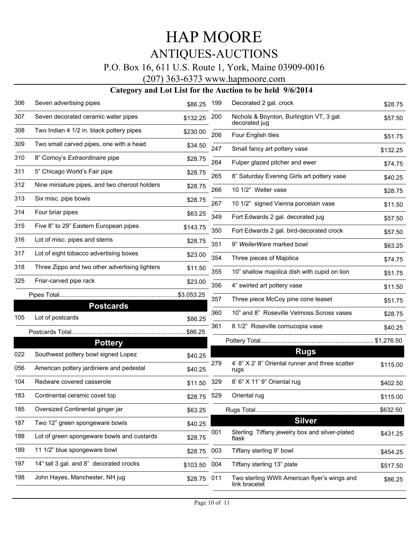### P.O. Box 16, 611 U.S. Route 1, York, Maine 03909-0016

(207) 363-6373 www.hapmoore.com

| 306 | Seven advertising pipes                        | \$86.25     | 199 | Decorated 2 gal. crock                                        | \$28.75   |
|-----|------------------------------------------------|-------------|-----|---------------------------------------------------------------|-----------|
| 307 | Seven decorated ceramic water pipes            | \$132.25    | 200 | Nichols & Boynton, Burlington VT, 3 gal.<br>decorated jug     | \$57.50   |
| 308 | Two Indian 4 1/2 in. black pottery pipes       | \$230.00    | 206 | Four English tiles                                            | \$51.75   |
| 309 | Two small carved pipes, one with a head        | \$34.50     | 247 | Small fancy art pottery vase                                  | \$132.25  |
| 310 | 8" Comoy's Extraordinaire pipe                 | \$28.75     | 264 | Fulper glazed pitcher and ewer                                | \$74.75   |
| 311 | 5" Chicago World's Fair pipe                   | \$28.75     | 265 | 8" Saturday Evening Girls art pottery vase                    | \$40.25   |
| 312 | Nine miniature pipes, and two cheroot holders  | \$28.75     | 266 | 10 1/2" Weller vase                                           | \$28.75   |
| 313 | Six misc. pipe bowls                           | \$28.75     | 267 | 10 1/2" signed Vienna porcelain vase                          | \$11.50   |
| 314 | Four briar pipes                               | \$63.25     | 349 | Fort Edwards 2 gal. decorated jug                             | \$57.50   |
| 315 | Five 8" to 29" Eastern European pipes          | \$143.75    | 350 | Fort Edwards 2 gal. bird-decorated crock                      |           |
| 316 | Lot of misc. pipes and stems                   | \$28.75     | 351 | 9" WellerWare marked bowl                                     | \$57.50   |
| 317 | Lot of eight tobacco advertising boxes         | \$23.00     | 354 | Three pieces of Majolica                                      | \$63.25   |
| 318 | Three Zippo and two other advertising lighters | \$11.50     | 355 | 10" shallow majolica dish with cupid on lion                  | \$74.75   |
| 325 | Friar-carved pipe rack                         | \$23.00     |     |                                                               | \$51.75   |
|     |                                                | .\$3,053.25 | 356 | 4" swirled art pottery vase                                   | \$11.50   |
|     | <b>Postcards</b>                               |             | 357 | Three piece McCoy pine cone teaset                            | \$51.75   |
| 105 | Lot of postcards                               | \$86.25     | 360 | 10" and 8" Roseville Velmoss Scross vases                     | \$28.75   |
|     |                                                | \$86.25     | 361 | 8 1/2" Roseville cornucopia vase                              | \$40.25   |
|     | <b>Pottery</b>                                 |             |     |                                                               |           |
| 022 | Southwest pottery bowl signed Lopez            | \$40.25     |     | <b>Rugs</b>                                                   |           |
| 056 | American pottery jardiniere and pedestal       | \$40.25     | 279 | 4' 8" X 2' 8" Oriental runner and three scatter<br>rugs       | \$115.00  |
| 104 | Redware covered casserole                      | \$11.50     | 329 | 8' 6" X 11' 9" Oriental rug                                   | \$402.50  |
| 183 | Continental ceramic covet top                  | \$28.75     | 529 | Oriental rug                                                  | \$115.00  |
| 185 | Oversized Continental ginger jar               | \$63.25     |     |                                                               | .\$632.50 |
| 187 | Two 12" green spongeware bowls                 | \$40.25     |     | <b>Silver</b>                                                 |           |
| 188 | Lot of green spongeware bowls and custards     | \$28.75     | 001 | Sterling Tiffany jewelry box and silver-plated<br>flask       | \$431.25  |
| 189 | 11 1/2" blue spongeware bowl                   | \$28.75 003 |     | Tiffany sterling 9" bowl                                      | \$454.25  |
| 197 | 14" tall 3 gal. and 8" decorated crocks        | \$103.50    | 004 | Tiffany sterling 13" plate                                    | \$517.50  |
| 198 | John Hayes, Manchester, NH jug                 | \$28.75 011 |     | Two sterling WWII American flyer's wings and<br>link bracelet | \$86.25   |